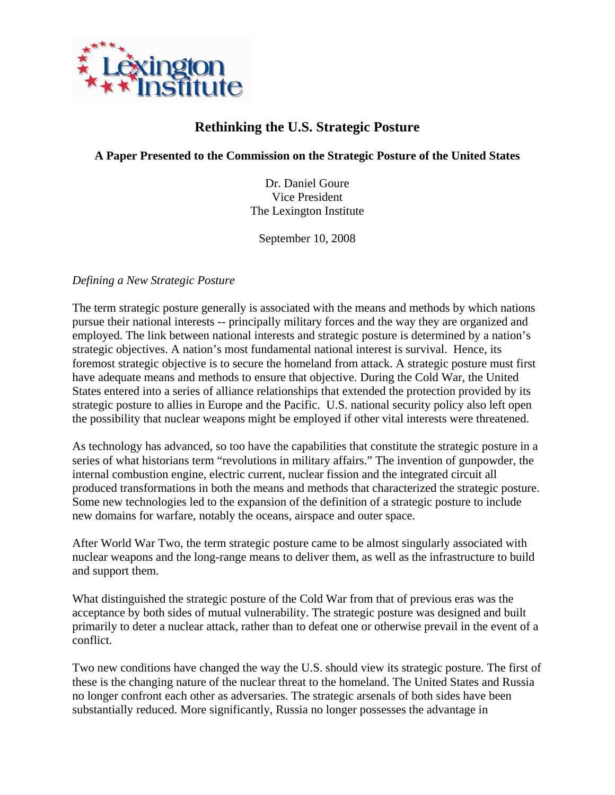

## **Rethinking the U.S. Strategic Posture**

**A Paper Presented to the Commission on the Strategic Posture of the United States** 

Dr. Daniel Goure Vice President The Lexington Institute

September 10, 2008

*Defining a New Strategic Posture* 

The term strategic posture generally is associated with the means and methods by which nations pursue their national interests -- principally military forces and the way they are organized and employed. The link between national interests and strategic posture is determined by a nation's strategic objectives. A nation's most fundamental national interest is survival. Hence, its foremost strategic objective is to secure the homeland from attack. A strategic posture must first have adequate means and methods to ensure that objective. During the Cold War, the United States entered into a series of alliance relationships that extended the protection provided by its strategic posture to allies in Europe and the Pacific. U.S. national security policy also left open the possibility that nuclear weapons might be employed if other vital interests were threatened.

As technology has advanced, so too have the capabilities that constitute the strategic posture in a series of what historians term "revolutions in military affairs." The invention of gunpowder, the internal combustion engine, electric current, nuclear fission and the integrated circuit all produced transformations in both the means and methods that characterized the strategic posture. Some new technologies led to the expansion of the definition of a strategic posture to include new domains for warfare, notably the oceans, airspace and outer space.

After World War Two, the term strategic posture came to be almost singularly associated with nuclear weapons and the long-range means to deliver them, as well as the infrastructure to build and support them.

What distinguished the strategic posture of the Cold War from that of previous eras was the acceptance by both sides of mutual vulnerability. The strategic posture was designed and built primarily to deter a nuclear attack, rather than to defeat one or otherwise prevail in the event of a conflict.

Two new conditions have changed the way the U.S. should view its strategic posture. The first of these is the changing nature of the nuclear threat to the homeland. The United States and Russia no longer confront each other as adversaries. The strategic arsenals of both sides have been substantially reduced. More significantly, Russia no longer possesses the advantage in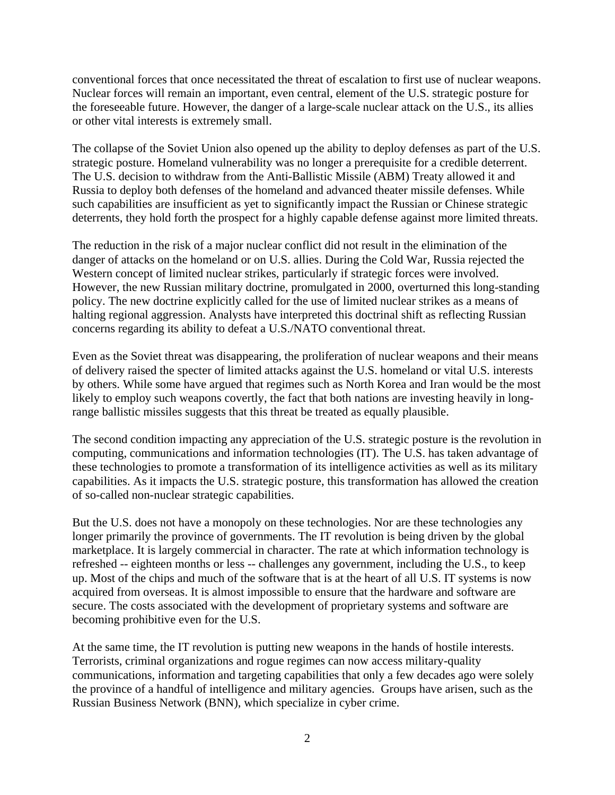conventional forces that once necessitated the threat of escalation to first use of nuclear weapons. Nuclear forces will remain an important, even central, element of the U.S. strategic posture for the foreseeable future. However, the danger of a large-scale nuclear attack on the U.S., its allies or other vital interests is extremely small.

The collapse of the Soviet Union also opened up the ability to deploy defenses as part of the U.S. strategic posture. Homeland vulnerability was no longer a prerequisite for a credible deterrent. The U.S. decision to withdraw from the Anti-Ballistic Missile (ABM) Treaty allowed it and Russia to deploy both defenses of the homeland and advanced theater missile defenses. While such capabilities are insufficient as yet to significantly impact the Russian or Chinese strategic deterrents, they hold forth the prospect for a highly capable defense against more limited threats.

The reduction in the risk of a major nuclear conflict did not result in the elimination of the danger of attacks on the homeland or on U.S. allies. During the Cold War, Russia rejected the Western concept of limited nuclear strikes, particularly if strategic forces were involved. However, the new Russian military doctrine, promulgated in 2000, overturned this long-standing policy. The new doctrine explicitly called for the use of limited nuclear strikes as a means of halting regional aggression. Analysts have interpreted this doctrinal shift as reflecting Russian concerns regarding its ability to defeat a U.S./NATO conventional threat.

Even as the Soviet threat was disappearing, the proliferation of nuclear weapons and their means of delivery raised the specter of limited attacks against the U.S. homeland or vital U.S. interests by others. While some have argued that regimes such as North Korea and Iran would be the most likely to employ such weapons covertly, the fact that both nations are investing heavily in longrange ballistic missiles suggests that this threat be treated as equally plausible.

The second condition impacting any appreciation of the U.S. strategic posture is the revolution in computing, communications and information technologies (IT). The U.S. has taken advantage of these technologies to promote a transformation of its intelligence activities as well as its military capabilities. As it impacts the U.S. strategic posture, this transformation has allowed the creation of so-called non-nuclear strategic capabilities.

But the U.S. does not have a monopoly on these technologies. Nor are these technologies any longer primarily the province of governments. The IT revolution is being driven by the global marketplace. It is largely commercial in character. The rate at which information technology is refreshed -- eighteen months or less -- challenges any government, including the U.S., to keep up. Most of the chips and much of the software that is at the heart of all U.S. IT systems is now acquired from overseas. It is almost impossible to ensure that the hardware and software are secure. The costs associated with the development of proprietary systems and software are becoming prohibitive even for the U.S.

At the same time, the IT revolution is putting new weapons in the hands of hostile interests. Terrorists, criminal organizations and rogue regimes can now access military-quality communications, information and targeting capabilities that only a few decades ago were solely the province of a handful of intelligence and military agencies. Groups have arisen, such as the Russian Business Network (BNN), which specialize in cyber crime.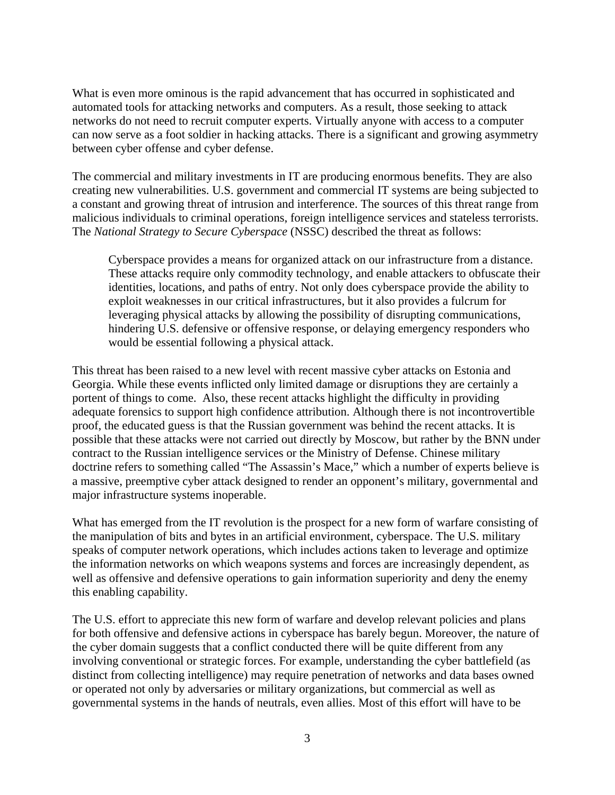What is even more ominous is the rapid advancement that has occurred in sophisticated and automated tools for attacking networks and computers. As a result, those seeking to attack networks do not need to recruit computer experts. Virtually anyone with access to a computer can now serve as a foot soldier in hacking attacks. There is a significant and growing asymmetry between cyber offense and cyber defense.

The commercial and military investments in IT are producing enormous benefits. They are also creating new vulnerabilities. U.S. government and commercial IT systems are being subjected to a constant and growing threat of intrusion and interference. The sources of this threat range from malicious individuals to criminal operations, foreign intelligence services and stateless terrorists. The *National Strategy to Secure Cyberspace* (NSSC) described the threat as follows:

Cyberspace provides a means for organized attack on our infrastructure from a distance. These attacks require only commodity technology, and enable attackers to obfuscate their identities, locations, and paths of entry. Not only does cyberspace provide the ability to exploit weaknesses in our critical infrastructures, but it also provides a fulcrum for leveraging physical attacks by allowing the possibility of disrupting communications, hindering U.S. defensive or offensive response, or delaying emergency responders who would be essential following a physical attack.

This threat has been raised to a new level with recent massive cyber attacks on Estonia and Georgia. While these events inflicted only limited damage or disruptions they are certainly a portent of things to come. Also, these recent attacks highlight the difficulty in providing adequate forensics to support high confidence attribution. Although there is not incontrovertible proof, the educated guess is that the Russian government was behind the recent attacks. It is possible that these attacks were not carried out directly by Moscow, but rather by the BNN under contract to the Russian intelligence services or the Ministry of Defense. Chinese military doctrine refers to something called "The Assassin's Mace," which a number of experts believe is a massive, preemptive cyber attack designed to render an opponent's military, governmental and major infrastructure systems inoperable.

What has emerged from the IT revolution is the prospect for a new form of warfare consisting of the manipulation of bits and bytes in an artificial environment, cyberspace. The U.S. military speaks of computer network operations, which includes actions taken to leverage and optimize the information networks on which weapons systems and forces are increasingly dependent, as well as offensive and defensive operations to gain information superiority and deny the enemy this enabling capability.

The U.S. effort to appreciate this new form of warfare and develop relevant policies and plans for both offensive and defensive actions in cyberspace has barely begun. Moreover, the nature of the cyber domain suggests that a conflict conducted there will be quite different from any involving conventional or strategic forces. For example, understanding the cyber battlefield (as distinct from collecting intelligence) may require penetration of networks and data bases owned or operated not only by adversaries or military organizations, but commercial as well as governmental systems in the hands of neutrals, even allies. Most of this effort will have to be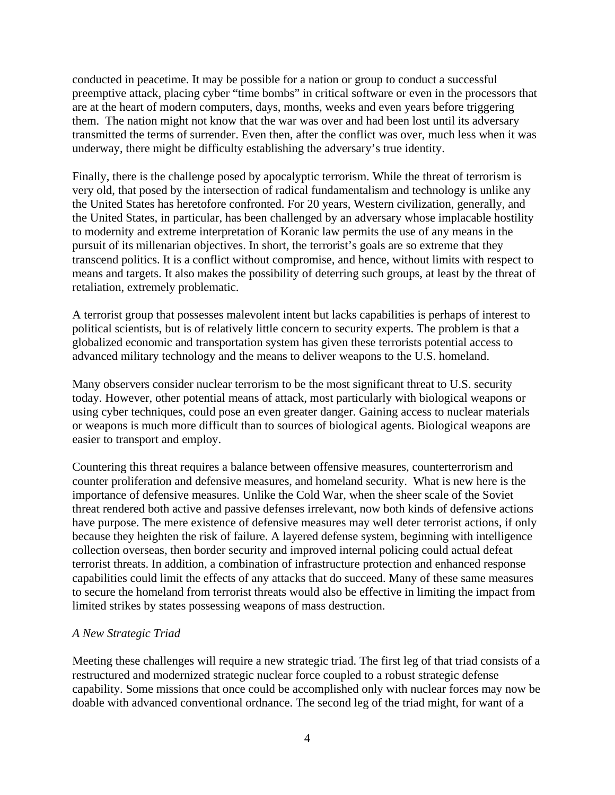conducted in peacetime. It may be possible for a nation or group to conduct a successful preemptive attack, placing cyber "time bombs" in critical software or even in the processors that are at the heart of modern computers, days, months, weeks and even years before triggering them. The nation might not know that the war was over and had been lost until its adversary transmitted the terms of surrender. Even then, after the conflict was over, much less when it was underway, there might be difficulty establishing the adversary's true identity.

Finally, there is the challenge posed by apocalyptic terrorism. While the threat of terrorism is very old, that posed by the intersection of radical fundamentalism and technology is unlike any the United States has heretofore confronted. For 20 years, Western civilization, generally, and the United States, in particular, has been challenged by an adversary whose implacable hostility to modernity and extreme interpretation of Koranic law permits the use of any means in the pursuit of its millenarian objectives. In short, the terrorist's goals are so extreme that they transcend politics. It is a conflict without compromise, and hence, without limits with respect to means and targets. It also makes the possibility of deterring such groups, at least by the threat of retaliation, extremely problematic.

A terrorist group that possesses malevolent intent but lacks capabilities is perhaps of interest to political scientists, but is of relatively little concern to security experts. The problem is that a globalized economic and transportation system has given these terrorists potential access to advanced military technology and the means to deliver weapons to the U.S. homeland.

Many observers consider nuclear terrorism to be the most significant threat to U.S. security today. However, other potential means of attack, most particularly with biological weapons or using cyber techniques, could pose an even greater danger. Gaining access to nuclear materials or weapons is much more difficult than to sources of biological agents. Biological weapons are easier to transport and employ.

Countering this threat requires a balance between offensive measures, counterterrorism and counter proliferation and defensive measures, and homeland security. What is new here is the importance of defensive measures. Unlike the Cold War, when the sheer scale of the Soviet threat rendered both active and passive defenses irrelevant, now both kinds of defensive actions have purpose. The mere existence of defensive measures may well deter terrorist actions, if only because they heighten the risk of failure. A layered defense system, beginning with intelligence collection overseas, then border security and improved internal policing could actual defeat terrorist threats. In addition, a combination of infrastructure protection and enhanced response capabilities could limit the effects of any attacks that do succeed. Many of these same measures to secure the homeland from terrorist threats would also be effective in limiting the impact from limited strikes by states possessing weapons of mass destruction.

## *A New Strategic Triad*

Meeting these challenges will require a new strategic triad. The first leg of that triad consists of a restructured and modernized strategic nuclear force coupled to a robust strategic defense capability. Some missions that once could be accomplished only with nuclear forces may now be doable with advanced conventional ordnance. The second leg of the triad might, for want of a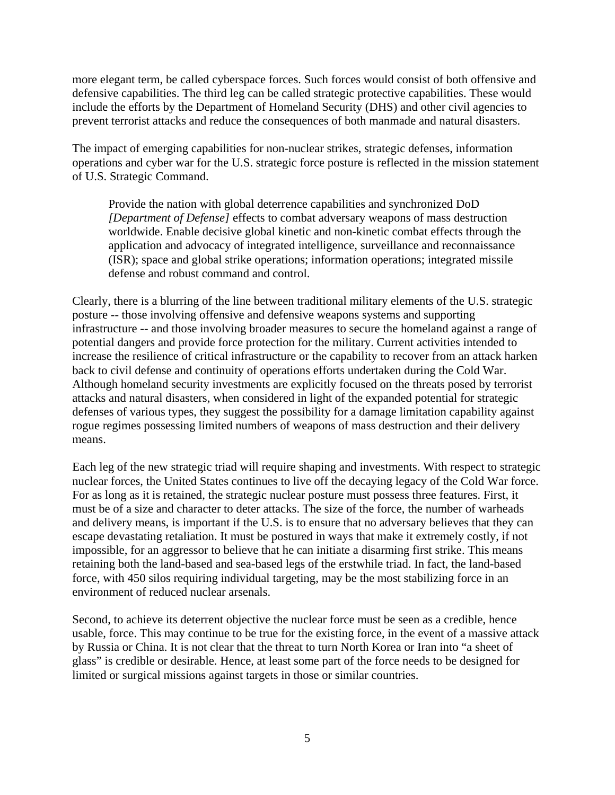more elegant term, be called cyberspace forces. Such forces would consist of both offensive and defensive capabilities. The third leg can be called strategic protective capabilities. These would include the efforts by the Department of Homeland Security (DHS) and other civil agencies to prevent terrorist attacks and reduce the consequences of both manmade and natural disasters.

The impact of emerging capabilities for non-nuclear strikes, strategic defenses, information operations and cyber war for the U.S. strategic force posture is reflected in the mission statement of U.S. Strategic Command.

Provide the nation with global deterrence capabilities and synchronized DoD *[Department of Defense]* effects to combat adversary weapons of mass destruction worldwide. Enable decisive global kinetic and non-kinetic combat effects through the application and advocacy of integrated intelligence, surveillance and reconnaissance (ISR); space and global strike operations; information operations; integrated missile defense and robust command and control.

Clearly, there is a blurring of the line between traditional military elements of the U.S. strategic posture -- those involving offensive and defensive weapons systems and supporting infrastructure -- and those involving broader measures to secure the homeland against a range of potential dangers and provide force protection for the military. Current activities intended to increase the resilience of critical infrastructure or the capability to recover from an attack harken back to civil defense and continuity of operations efforts undertaken during the Cold War. Although homeland security investments are explicitly focused on the threats posed by terrorist attacks and natural disasters, when considered in light of the expanded potential for strategic defenses of various types, they suggest the possibility for a damage limitation capability against rogue regimes possessing limited numbers of weapons of mass destruction and their delivery means.

Each leg of the new strategic triad will require shaping and investments. With respect to strategic nuclear forces, the United States continues to live off the decaying legacy of the Cold War force. For as long as it is retained, the strategic nuclear posture must possess three features. First, it must be of a size and character to deter attacks. The size of the force, the number of warheads and delivery means, is important if the U.S. is to ensure that no adversary believes that they can escape devastating retaliation. It must be postured in ways that make it extremely costly, if not impossible, for an aggressor to believe that he can initiate a disarming first strike. This means retaining both the land-based and sea-based legs of the erstwhile triad. In fact, the land-based force, with 450 silos requiring individual targeting, may be the most stabilizing force in an environment of reduced nuclear arsenals.

Second, to achieve its deterrent objective the nuclear force must be seen as a credible, hence usable, force. This may continue to be true for the existing force, in the event of a massive attack by Russia or China. It is not clear that the threat to turn North Korea or Iran into "a sheet of glass" is credible or desirable. Hence, at least some part of the force needs to be designed for limited or surgical missions against targets in those or similar countries.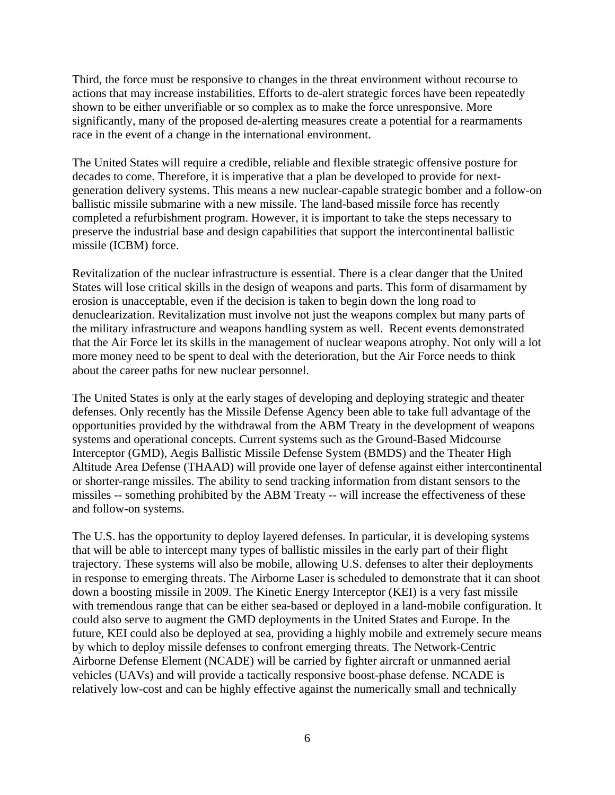Third, the force must be responsive to changes in the threat environment without recourse to actions that may increase instabilities. Efforts to de-alert strategic forces have been repeatedly shown to be either unverifiable or so complex as to make the force unresponsive. More significantly, many of the proposed de-alerting measures create a potential for a rearmaments race in the event of a change in the international environment.

The United States will require a credible, reliable and flexible strategic offensive posture for decades to come. Therefore, it is imperative that a plan be developed to provide for nextgeneration delivery systems. This means a new nuclear-capable strategic bomber and a follow-on ballistic missile submarine with a new missile. The land-based missile force has recently completed a refurbishment program. However, it is important to take the steps necessary to preserve the industrial base and design capabilities that support the intercontinental ballistic missile (ICBM) force.

Revitalization of the nuclear infrastructure is essential. There is a clear danger that the United States will lose critical skills in the design of weapons and parts. This form of disarmament by erosion is unacceptable, even if the decision is taken to begin down the long road to denuclearization. Revitalization must involve not just the weapons complex but many parts of the military infrastructure and weapons handling system as well. Recent events demonstrated that the Air Force let its skills in the management of nuclear weapons atrophy. Not only will a lot more money need to be spent to deal with the deterioration, but the Air Force needs to think about the career paths for new nuclear personnel.

The United States is only at the early stages of developing and deploying strategic and theater defenses. Only recently has the Missile Defense Agency been able to take full advantage of the opportunities provided by the withdrawal from the ABM Treaty in the development of weapons systems and operational concepts. Current systems such as the Ground-Based Midcourse Interceptor (GMD), Aegis Ballistic Missile Defense System (BMDS) and the Theater High Altitude Area Defense (THAAD) will provide one layer of defense against either intercontinental or shorter-range missiles. The ability to send tracking information from distant sensors to the missiles -- something prohibited by the ABM Treaty -- will increase the effectiveness of these and follow-on systems.

The U.S. has the opportunity to deploy layered defenses. In particular, it is developing systems that will be able to intercept many types of ballistic missiles in the early part of their flight trajectory. These systems will also be mobile, allowing U.S. defenses to alter their deployments in response to emerging threats. The Airborne Laser is scheduled to demonstrate that it can shoot down a boosting missile in 2009. The Kinetic Energy Interceptor (KEI) is a very fast missile with tremendous range that can be either sea-based or deployed in a land-mobile configuration. It could also serve to augment the GMD deployments in the United States and Europe. In the future, KEI could also be deployed at sea, providing a highly mobile and extremely secure means by which to deploy missile defenses to confront emerging threats. The Network-Centric Airborne Defense Element (NCADE) will be carried by fighter aircraft or unmanned aerial vehicles (UAVs) and will provide a tactically responsive boost-phase defense. NCADE is relatively low-cost and can be highly effective against the numerically small and technically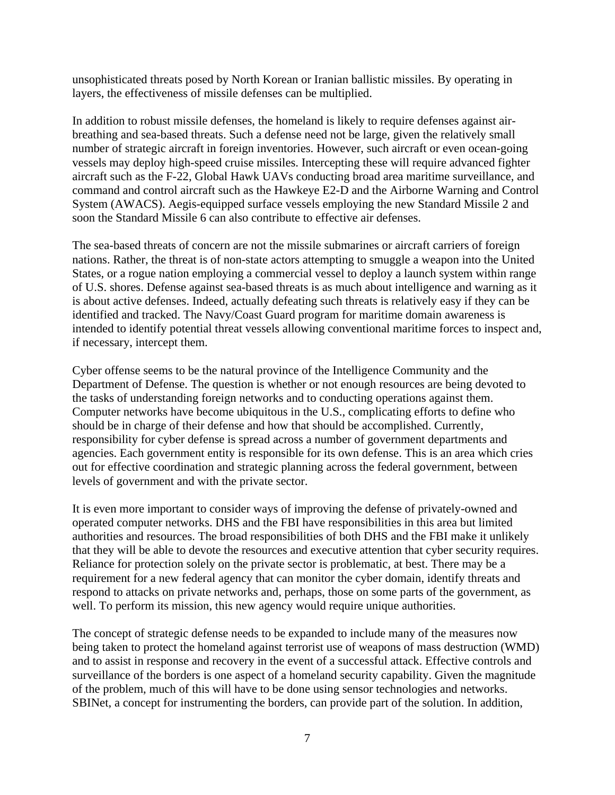unsophisticated threats posed by North Korean or Iranian ballistic missiles. By operating in layers, the effectiveness of missile defenses can be multiplied.

In addition to robust missile defenses, the homeland is likely to require defenses against airbreathing and sea-based threats. Such a defense need not be large, given the relatively small number of strategic aircraft in foreign inventories. However, such aircraft or even ocean-going vessels may deploy high-speed cruise missiles. Intercepting these will require advanced fighter aircraft such as the F-22, Global Hawk UAVs conducting broad area maritime surveillance, and command and control aircraft such as the Hawkeye E2-D and the Airborne Warning and Control System (AWACS). Aegis-equipped surface vessels employing the new Standard Missile 2 and soon the Standard Missile 6 can also contribute to effective air defenses.

The sea-based threats of concern are not the missile submarines or aircraft carriers of foreign nations. Rather, the threat is of non-state actors attempting to smuggle a weapon into the United States, or a rogue nation employing a commercial vessel to deploy a launch system within range of U.S. shores. Defense against sea-based threats is as much about intelligence and warning as it is about active defenses. Indeed, actually defeating such threats is relatively easy if they can be identified and tracked. The Navy/Coast Guard program for maritime domain awareness is intended to identify potential threat vessels allowing conventional maritime forces to inspect and, if necessary, intercept them.

Cyber offense seems to be the natural province of the Intelligence Community and the Department of Defense. The question is whether or not enough resources are being devoted to the tasks of understanding foreign networks and to conducting operations against them. Computer networks have become ubiquitous in the U.S., complicating efforts to define who should be in charge of their defense and how that should be accomplished. Currently, responsibility for cyber defense is spread across a number of government departments and agencies. Each government entity is responsible for its own defense. This is an area which cries out for effective coordination and strategic planning across the federal government, between levels of government and with the private sector.

It is even more important to consider ways of improving the defense of privately-owned and operated computer networks. DHS and the FBI have responsibilities in this area but limited authorities and resources. The broad responsibilities of both DHS and the FBI make it unlikely that they will be able to devote the resources and executive attention that cyber security requires. Reliance for protection solely on the private sector is problematic, at best. There may be a requirement for a new federal agency that can monitor the cyber domain, identify threats and respond to attacks on private networks and, perhaps, those on some parts of the government, as well. To perform its mission, this new agency would require unique authorities.

The concept of strategic defense needs to be expanded to include many of the measures now being taken to protect the homeland against terrorist use of weapons of mass destruction (WMD) and to assist in response and recovery in the event of a successful attack. Effective controls and surveillance of the borders is one aspect of a homeland security capability. Given the magnitude of the problem, much of this will have to be done using sensor technologies and networks. SBINet, a concept for instrumenting the borders, can provide part of the solution. In addition,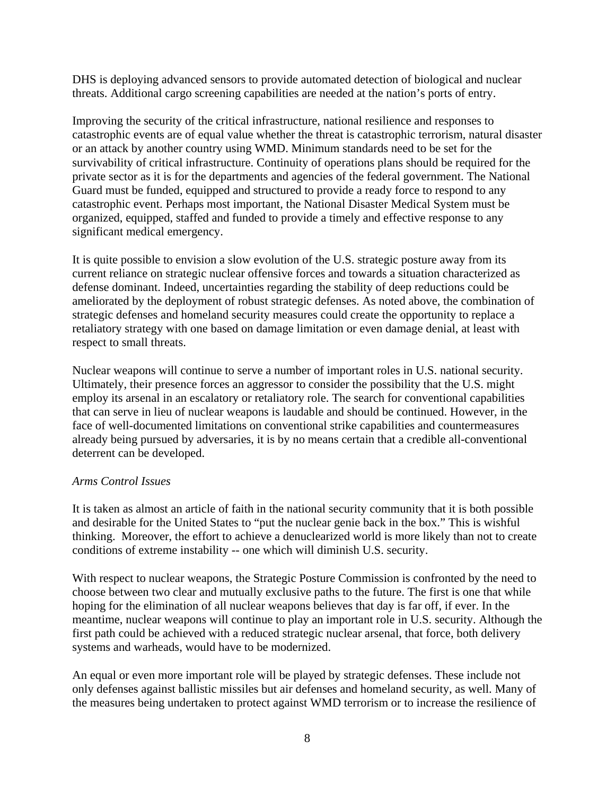DHS is deploying advanced sensors to provide automated detection of biological and nuclear threats. Additional cargo screening capabilities are needed at the nation's ports of entry.

Improving the security of the critical infrastructure, national resilience and responses to catastrophic events are of equal value whether the threat is catastrophic terrorism, natural disaster or an attack by another country using WMD. Minimum standards need to be set for the survivability of critical infrastructure. Continuity of operations plans should be required for the private sector as it is for the departments and agencies of the federal government. The National Guard must be funded, equipped and structured to provide a ready force to respond to any catastrophic event. Perhaps most important, the National Disaster Medical System must be organized, equipped, staffed and funded to provide a timely and effective response to any significant medical emergency.

It is quite possible to envision a slow evolution of the U.S. strategic posture away from its current reliance on strategic nuclear offensive forces and towards a situation characterized as defense dominant. Indeed, uncertainties regarding the stability of deep reductions could be ameliorated by the deployment of robust strategic defenses. As noted above, the combination of strategic defenses and homeland security measures could create the opportunity to replace a retaliatory strategy with one based on damage limitation or even damage denial, at least with respect to small threats.

Nuclear weapons will continue to serve a number of important roles in U.S. national security. Ultimately, their presence forces an aggressor to consider the possibility that the U.S. might employ its arsenal in an escalatory or retaliatory role. The search for conventional capabilities that can serve in lieu of nuclear weapons is laudable and should be continued. However, in the face of well-documented limitations on conventional strike capabilities and countermeasures already being pursued by adversaries, it is by no means certain that a credible all-conventional deterrent can be developed.

## *Arms Control Issues*

It is taken as almost an article of faith in the national security community that it is both possible and desirable for the United States to "put the nuclear genie back in the box." This is wishful thinking. Moreover, the effort to achieve a denuclearized world is more likely than not to create conditions of extreme instability -- one which will diminish U.S. security.

With respect to nuclear weapons, the Strategic Posture Commission is confronted by the need to choose between two clear and mutually exclusive paths to the future. The first is one that while hoping for the elimination of all nuclear weapons believes that day is far off, if ever. In the meantime, nuclear weapons will continue to play an important role in U.S. security. Although the first path could be achieved with a reduced strategic nuclear arsenal, that force, both delivery systems and warheads, would have to be modernized.

An equal or even more important role will be played by strategic defenses. These include not only defenses against ballistic missiles but air defenses and homeland security, as well. Many of the measures being undertaken to protect against WMD terrorism or to increase the resilience of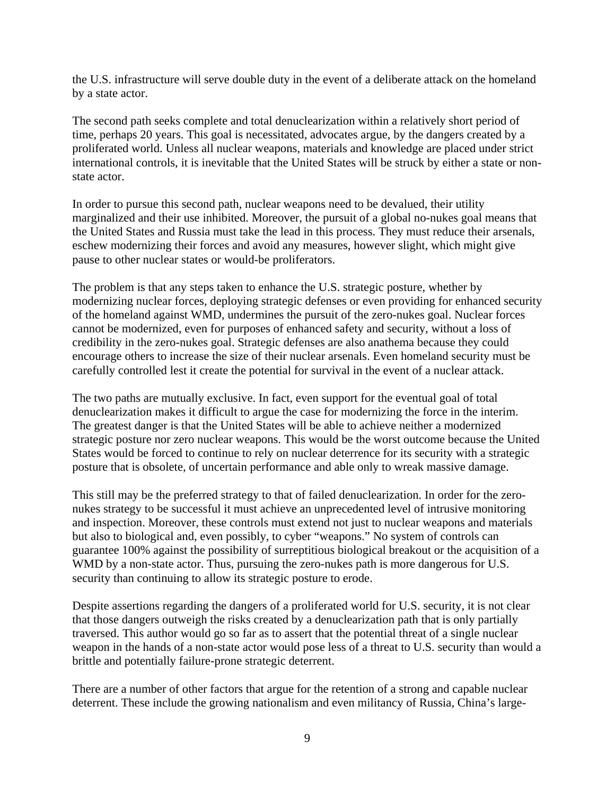the U.S. infrastructure will serve double duty in the event of a deliberate attack on the homeland by a state actor.

The second path seeks complete and total denuclearization within a relatively short period of time, perhaps 20 years. This goal is necessitated, advocates argue, by the dangers created by a proliferated world. Unless all nuclear weapons, materials and knowledge are placed under strict international controls, it is inevitable that the United States will be struck by either a state or nonstate actor.

In order to pursue this second path, nuclear weapons need to be devalued, their utility marginalized and their use inhibited. Moreover, the pursuit of a global no-nukes goal means that the United States and Russia must take the lead in this process. They must reduce their arsenals, eschew modernizing their forces and avoid any measures, however slight, which might give pause to other nuclear states or would-be proliferators.

The problem is that any steps taken to enhance the U.S. strategic posture, whether by modernizing nuclear forces, deploying strategic defenses or even providing for enhanced security of the homeland against WMD, undermines the pursuit of the zero-nukes goal. Nuclear forces cannot be modernized, even for purposes of enhanced safety and security, without a loss of credibility in the zero-nukes goal. Strategic defenses are also anathema because they could encourage others to increase the size of their nuclear arsenals. Even homeland security must be carefully controlled lest it create the potential for survival in the event of a nuclear attack.

The two paths are mutually exclusive. In fact, even support for the eventual goal of total denuclearization makes it difficult to argue the case for modernizing the force in the interim. The greatest danger is that the United States will be able to achieve neither a modernized strategic posture nor zero nuclear weapons. This would be the worst outcome because the United States would be forced to continue to rely on nuclear deterrence for its security with a strategic posture that is obsolete, of uncertain performance and able only to wreak massive damage.

This still may be the preferred strategy to that of failed denuclearization. In order for the zeronukes strategy to be successful it must achieve an unprecedented level of intrusive monitoring and inspection. Moreover, these controls must extend not just to nuclear weapons and materials but also to biological and, even possibly, to cyber "weapons." No system of controls can guarantee 100% against the possibility of surreptitious biological breakout or the acquisition of a WMD by a non-state actor. Thus, pursuing the zero-nukes path is more dangerous for U.S. security than continuing to allow its strategic posture to erode.

Despite assertions regarding the dangers of a proliferated world for U.S. security, it is not clear that those dangers outweigh the risks created by a denuclearization path that is only partially traversed. This author would go so far as to assert that the potential threat of a single nuclear weapon in the hands of a non-state actor would pose less of a threat to U.S. security than would a brittle and potentially failure-prone strategic deterrent.

There are a number of other factors that argue for the retention of a strong and capable nuclear deterrent. These include the growing nationalism and even militancy of Russia, China's large